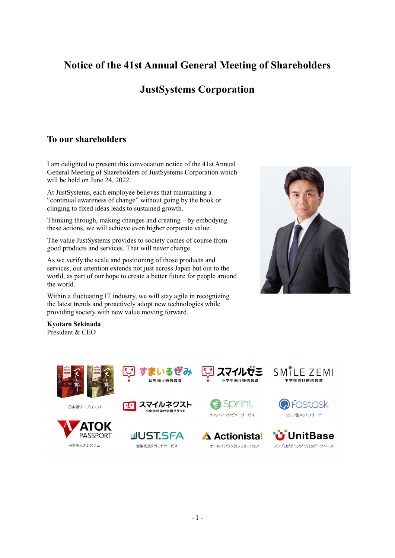# **Notice of the 41st Annual General Meeting of Shareholders**

# **JustSystems Corporation**

## **To our shareholders**

I am delighted to present this convocation notice of the 41st Annual General Meeting of Shareholders of JustSystems Corporation which will be held on June 24, 2022.

At JustSystems, each employee believes that maintaining a "continual awareness of change" without going by the book or clinging to fixed ideas leads to sustained growth.

Thinking through, making changes and creating – by embodying these actions, we will achieve even higher corporate value.

The value JustSystems provides to society comes of course from good products and services. That will never change.

As we verify the scale and positioning of those products and services, our attention extends not just across Japan but out to the world, as part of our hope to create a better future for people around the world.

Within a fluctuating IT industry, we will stay agile in recognizing the latest trends and proactively adopt new technologies while providing society with new value moving forward.



**Kyotaro Sekinada** President & CEO



日本語ワープロソフト





幼児向け通信教育





Sprint

チャットインタビューサービス





A Actionista! オールインワンBIソリューション

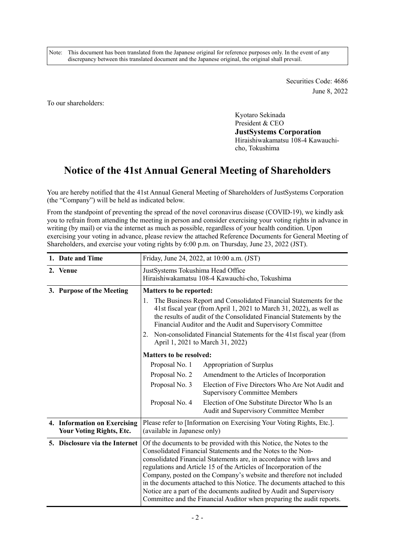Note: This document has been translated from the Japanese original for reference purposes only. In the event of any discrepancy between this translated document and the Japanese original, the original shall prevail.

> Securities Code: 4686 June 8, 2022

To our shareholders:

Kyotaro Sekinada President & CEO

**JustSystems Corporation**  Hiraishiwakamatsu 108-4 Kawauchicho, Tokushima

## **Notice of the 41st Annual General Meeting of Shareholders**

You are hereby notified that the 41st Annual General Meeting of Shareholders of JustSystems Corporation (the "Company") will be held as indicated below.

From the standpoint of preventing the spread of the novel coronavirus disease (COVID-19), we kindly ask you to refrain from attending the meeting in person and consider exercising your voting rights in advance in writing (by mail) or via the internet as much as possible, regardless of your health condition. Upon exercising your voting in advance, please review the attached Reference Documents for General Meeting of Shareholders, and exercise your voting rights by 6:00 p.m. on Thursday, June 23, 2022 (JST).

| 1. Date and Time                                                |                                                                                                                                                                                                                                                                                                                                                                                                                                                                                                                                                                                  | Friday, June 24, 2022, at 10:00 a.m. (JST)                                               |  |  |
|-----------------------------------------------------------------|----------------------------------------------------------------------------------------------------------------------------------------------------------------------------------------------------------------------------------------------------------------------------------------------------------------------------------------------------------------------------------------------------------------------------------------------------------------------------------------------------------------------------------------------------------------------------------|------------------------------------------------------------------------------------------|--|--|
| 2. Venue                                                        | JustSystems Tokushima Head Office<br>Hiraishiwakamatsu 108-4 Kawauchi-cho, Tokushima                                                                                                                                                                                                                                                                                                                                                                                                                                                                                             |                                                                                          |  |  |
| 3. Purpose of the Meeting                                       | <b>Matters to be reported:</b><br>The Business Report and Consolidated Financial Statements for the<br>1.<br>41st fiscal year (from April 1, 2021 to March 31, 2022), as well as<br>the results of audit of the Consolidated Financial Statements by the<br>Financial Auditor and the Audit and Supervisory Committee<br>Non-consolidated Financial Statements for the 41st fiscal year (from<br>2.<br>April 1, 2021 to March 31, 2022)                                                                                                                                          |                                                                                          |  |  |
|                                                                 | <b>Matters to be resolved:</b>                                                                                                                                                                                                                                                                                                                                                                                                                                                                                                                                                   |                                                                                          |  |  |
|                                                                 | Proposal No. 1                                                                                                                                                                                                                                                                                                                                                                                                                                                                                                                                                                   | Appropriation of Surplus                                                                 |  |  |
|                                                                 | Proposal No. 2                                                                                                                                                                                                                                                                                                                                                                                                                                                                                                                                                                   | Amendment to the Articles of Incorporation                                               |  |  |
|                                                                 | Proposal No. 3                                                                                                                                                                                                                                                                                                                                                                                                                                                                                                                                                                   | Election of Five Directors Who Are Not Audit and<br><b>Supervisory Committee Members</b> |  |  |
|                                                                 | Proposal No. 4                                                                                                                                                                                                                                                                                                                                                                                                                                                                                                                                                                   | Election of One Substitute Director Who Is an<br>Audit and Supervisory Committee Member  |  |  |
| 4. Information on Exercising<br><b>Your Voting Rights, Etc.</b> | Please refer to [Information on Exercising Your Voting Rights, Etc.].<br>(available in Japanese only)                                                                                                                                                                                                                                                                                                                                                                                                                                                                            |                                                                                          |  |  |
| 5. Disclosure via the Internet                                  | Of the documents to be provided with this Notice, the Notes to the<br>Consolidated Financial Statements and the Notes to the Non-<br>consolidated Financial Statements are, in accordance with laws and<br>regulations and Article 15 of the Articles of Incorporation of the<br>Company, posted on the Company's website and therefore not included<br>in the documents attached to this Notice. The documents attached to this<br>Notice are a part of the documents audited by Audit and Supervisory<br>Committee and the Financial Auditor when preparing the audit reports. |                                                                                          |  |  |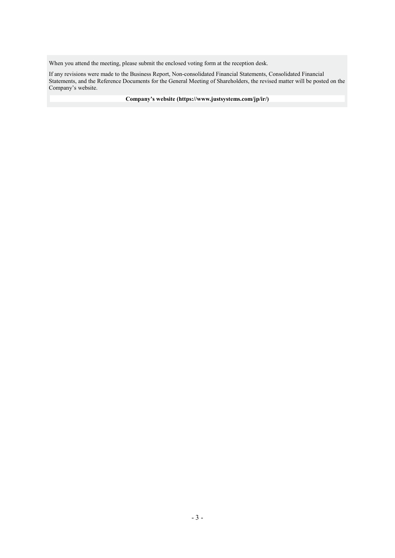When you attend the meeting, please submit the enclosed voting form at the reception desk.

If any revisions were made to the Business Report, Non-consolidated Financial Statements, Consolidated Financial Statements, and the Reference Documents for the General Meeting of Shareholders, the revised matter will be posted on the Company's website.

**Company's website (https://www.justsystems.com/jp/ir/)**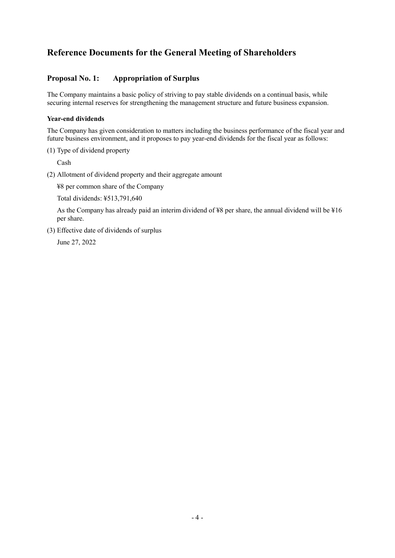## **Reference Documents for the General Meeting of Shareholders**

## **Proposal No. 1: Appropriation of Surplus**

The Company maintains a basic policy of striving to pay stable dividends on a continual basis, while securing internal reserves for strengthening the management structure and future business expansion.

### **Year-end dividends**

The Company has given consideration to matters including the business performance of the fiscal year and future business environment, and it proposes to pay year-end dividends for the fiscal year as follows:

#### (1) Type of dividend property

Cash

(2) Allotment of dividend property and their aggregate amount

¥8 per common share of the Company

Total dividends: ¥513,791,640

As the Company has already paid an interim dividend of ¥8 per share, the annual dividend will be ¥16 per share.

(3) Effective date of dividends of surplus

June 27, 2022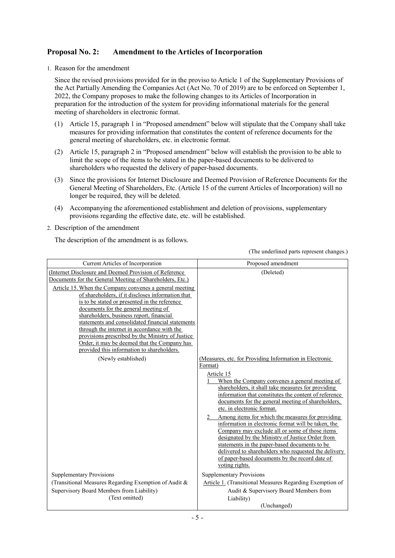## **Proposal No. 2: Amendment to the Articles of Incorporation**

1. Reason for the amendment

Since the revised provisions provided for in the proviso to Article 1 of the Supplementary Provisions of the Act Partially Amending the Companies Act (Act No. 70 of 2019) are to be enforced on September 1, 2022, the Company proposes to make the following changes to its Articles of Incorporation in preparation for the introduction of the system for providing informational materials for the general meeting of shareholders in electronic format.

- (1) Article 15, paragraph 1 in "Proposed amendment" below will stipulate that the Company shall take measures for providing information that constitutes the content of reference documents for the general meeting of shareholders, etc. in electronic format.
- (2) Article 15, paragraph 2 in "Proposed amendment" below will establish the provision to be able to limit the scope of the items to be stated in the paper-based documents to be delivered to shareholders who requested the delivery of paper-based documents.
- (3) Since the provisions for Internet Disclosure and Deemed Provision of Reference Documents for the General Meeting of Shareholders, Etc. (Article 15 of the current Articles of Incorporation) will no longer be required, they will be deleted.
- (4) Accompanying the aforementioned establishment and deletion of provisions, supplementary provisions regarding the effective date, etc. will be established.
- 2. Description of the amendment

The description of the amendment is as follows.

(The underlined parts represent changes.)

| Current Articles of Incorporation                                                                                                                                                                                                                                                                                                                                                                                                                                                                                             | Proposed amendment                                                                                                                                                                                                                                                                                                                                                                                                                                                                                                                                                                                                                                            |
|-------------------------------------------------------------------------------------------------------------------------------------------------------------------------------------------------------------------------------------------------------------------------------------------------------------------------------------------------------------------------------------------------------------------------------------------------------------------------------------------------------------------------------|---------------------------------------------------------------------------------------------------------------------------------------------------------------------------------------------------------------------------------------------------------------------------------------------------------------------------------------------------------------------------------------------------------------------------------------------------------------------------------------------------------------------------------------------------------------------------------------------------------------------------------------------------------------|
| (Internet Disclosure and Deemed Provision of Reference<br>Documents for the General Meeting of Shareholders, Etc.)                                                                                                                                                                                                                                                                                                                                                                                                            | (Deleted)                                                                                                                                                                                                                                                                                                                                                                                                                                                                                                                                                                                                                                                     |
| Article 15. When the Company convenes a general meeting<br>of shareholders, if it discloses information that<br>is to be stated or presented in the reference<br>documents for the general meeting of<br>shareholders, business report, financial<br>statements and consolidated financial statements<br>through the internet in accordance with the<br>provisions prescribed by the Ministry of Justice<br>Order, it may be deemed that the Company has<br>provided this information to shareholders.<br>(Newly established) | (Measures, etc. for Providing Information in Electronic                                                                                                                                                                                                                                                                                                                                                                                                                                                                                                                                                                                                       |
|                                                                                                                                                                                                                                                                                                                                                                                                                                                                                                                               | Format)                                                                                                                                                                                                                                                                                                                                                                                                                                                                                                                                                                                                                                                       |
|                                                                                                                                                                                                                                                                                                                                                                                                                                                                                                                               | Article 15<br>When the Company convenes a general meeting of<br>shareholders, it shall take measures for providing<br>information that constitutes the content of reference<br>documents for the general meeting of shareholders,<br>etc. in electronic format.<br>Among items for which the measures for providing<br>information in electronic format will be taken, the<br>Company may exclude all or some of those items<br>designated by the Ministry of Justice Order from<br>statements in the paper-based documents to be<br>delivered to shareholders who requested the delivery<br>of paper-based documents by the record date of<br>voting rights. |
| <b>Supplementary Provisions</b><br>(Transitional Measures Regarding Exemption of Audit &                                                                                                                                                                                                                                                                                                                                                                                                                                      | <b>Supplementary Provisions</b><br>Article 1. (Transitional Measures Regarding Exemption of                                                                                                                                                                                                                                                                                                                                                                                                                                                                                                                                                                   |
| Supervisory Board Members from Liability)                                                                                                                                                                                                                                                                                                                                                                                                                                                                                     | Audit & Supervisory Board Members from                                                                                                                                                                                                                                                                                                                                                                                                                                                                                                                                                                                                                        |
| (Text omitted)                                                                                                                                                                                                                                                                                                                                                                                                                                                                                                                | Liability)                                                                                                                                                                                                                                                                                                                                                                                                                                                                                                                                                                                                                                                    |
|                                                                                                                                                                                                                                                                                                                                                                                                                                                                                                                               | (Unchanged)                                                                                                                                                                                                                                                                                                                                                                                                                                                                                                                                                                                                                                                   |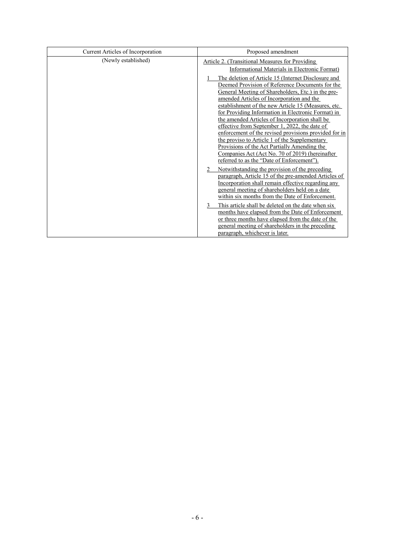| Current Articles of Incorporation | Proposed amendment                                                                                                                                                                                                                                                                                                                                                                                                                                                                                                                                                                                                                     |
|-----------------------------------|----------------------------------------------------------------------------------------------------------------------------------------------------------------------------------------------------------------------------------------------------------------------------------------------------------------------------------------------------------------------------------------------------------------------------------------------------------------------------------------------------------------------------------------------------------------------------------------------------------------------------------------|
| (Newly established)               | <b>Article 2. (Transitional Measures for Providing)</b>                                                                                                                                                                                                                                                                                                                                                                                                                                                                                                                                                                                |
|                                   | Informational Materials in Electronic Format)                                                                                                                                                                                                                                                                                                                                                                                                                                                                                                                                                                                          |
|                                   | The deletion of Article 15 (Internet Disclosure and<br>Deemed Provision of Reference Documents for the<br>General Meeting of Shareholders, Etc.) in the pre-<br>amended Articles of Incorporation and the<br>establishment of the new Article 15 (Measures, etc.<br>for Providing Information in Electronic Format) in<br>the amended Articles of Incorporation shall be<br>effective from September 1, 2022, the date of<br>enforcement of the revised provisions provided for in<br>the proviso to Article 1 of the Supplementary<br>Provisions of the Act Partially Amending the<br>Companies Act (Act No. 70 of 2019) (hereinafter |
|                                   | referred to as the "Date of Enforcement").                                                                                                                                                                                                                                                                                                                                                                                                                                                                                                                                                                                             |
|                                   | Notwithstanding the provision of the preceding<br>paragraph, Article 15 of the pre-amended Articles of<br>Incorporation shall remain effective regarding any<br>general meeting of shareholders held on a date<br>within six months from the Date of Enforcement.                                                                                                                                                                                                                                                                                                                                                                      |
|                                   | This article shall be deleted on the date when six<br>3<br>months have elapsed from the Date of Enforcement<br>or three months have elapsed from the date of the<br>general meeting of shareholders in the preceding<br>paragraph, whichever is later.                                                                                                                                                                                                                                                                                                                                                                                 |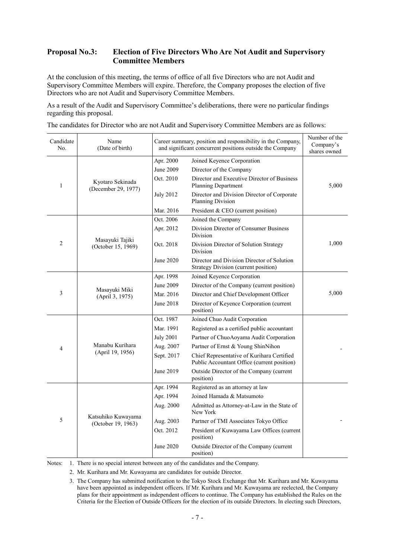### **Proposal No.3: Election of Five Directors Who Are Not Audit and Supervisory Committee Members**

At the conclusion of this meeting, the terms of office of all five Directors who are not Audit and Supervisory Committee Members will expire. Therefore, the Company proposes the election of five Directors who are not Audit and Supervisory Committee Members.

As a result of the Audit and Supervisory Committee's deliberations, there were no particular findings regarding this proposal.

The candidates for Director who are not Audit and Supervisory Committee Members are as follows:

| Candidate<br>No. | Name<br>(Date of birth)                  |                  | Career summary, position and responsibility in the Company,<br>and significant concurrent positions outside the Company |       |  |
|------------------|------------------------------------------|------------------|-------------------------------------------------------------------------------------------------------------------------|-------|--|
|                  |                                          | Apr. 2000        | Joined Keyence Corporation                                                                                              |       |  |
|                  |                                          | June 2009        | Director of the Company                                                                                                 |       |  |
| 1                | Kyotaro Sekinada<br>(December 29, 1977)  | Oct. 2010        | Director and Executive Director of Business<br>Planning Department                                                      | 5,000 |  |
|                  |                                          | <b>July 2012</b> | Director and Division Director of Corporate<br>Planning Division                                                        |       |  |
|                  |                                          | Mar. 2016        | President & CEO (current position)                                                                                      |       |  |
|                  |                                          | Oct. 2006        | Joined the Company                                                                                                      |       |  |
|                  |                                          | Apr. 2012        | Division Director of Consumer Business<br>Division                                                                      |       |  |
| 2                | Masayuki Tajiki<br>(October 15, 1969)    | Oct. 2018        | Division Director of Solution Strategy<br>Division                                                                      | 1,000 |  |
|                  |                                          | June 2020        | Director and Division Director of Solution<br><b>Strategy Division (current position)</b>                               |       |  |
|                  |                                          | Apr. 1998        | Joined Keyence Corporation                                                                                              |       |  |
|                  | Masayuki Miki<br>(April 3, 1975)         | June 2009        | Director of the Company (current position)                                                                              |       |  |
| 3                |                                          | Mar. 2016        | Director and Chief Development Officer                                                                                  | 5,000 |  |
|                  |                                          | June 2018        | Director of Keyence Corporation (current<br>position)                                                                   |       |  |
|                  |                                          | Oct. 1987        | Joined Chuo Audit Corporation                                                                                           |       |  |
|                  |                                          | Mar. 1991        | Registered as a certified public accountant                                                                             |       |  |
|                  |                                          | <b>July 2001</b> | Partner of ChuoAoyama Audit Corporation                                                                                 |       |  |
| 4                | Manabu Kurihara                          | Aug. 2007        | Partner of Ernst & Young ShinNihon                                                                                      |       |  |
|                  | (April 19, 1956)                         | Sept. 2017       | Chief Representative of Kurihara Certified<br>Public Accountant Office (current position)                               |       |  |
|                  |                                          | June 2019        | Outside Director of the Company (current<br>position)                                                                   |       |  |
|                  |                                          | Apr. 1994        | Registered as an attorney at law                                                                                        |       |  |
|                  |                                          | Apr. 1994        | Joined Hamada & Matsumoto                                                                                               |       |  |
|                  |                                          | Aug. 2000        | Admitted as Attorney-at-Law in the State of<br>New York                                                                 |       |  |
| 5                | Katsuhiko Kuwayama<br>(October 19, 1963) | Aug. 2003        | Partner of TMI Associates Tokyo Office                                                                                  |       |  |
|                  |                                          | Oct. 2012        | President of Kuwayama Law Offices (current<br>position)                                                                 |       |  |
|                  |                                          | June 2020        | Outside Director of the Company (current<br>position)                                                                   |       |  |

Notes: 1. There is no special interest between any of the candidates and the Company.

2. Mr. Kurihara and Mr. Kuwayama are candidates for outside Director.

<sup>3.</sup> The Company has submitted notification to the Tokyo Stock Exchange that Mr. Kurihara and Mr. Kuwayama have been appointed as independent officers. If Mr. Kurihara and Mr. Kuwayama are reelected, the Company plans for their appointment as independent officers to continue. The Company has established the Rules on the Criteria for the Election of Outside Officers for the election of its outside Directors. In electing such Directors,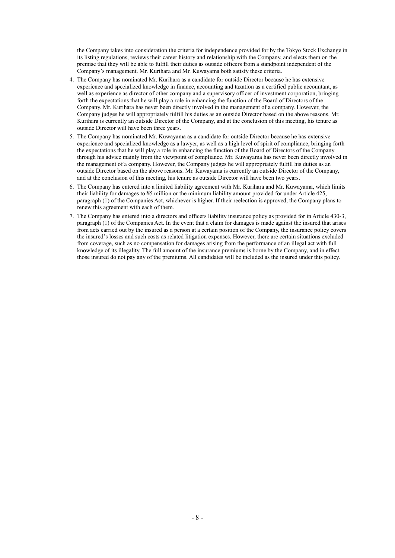the Company takes into consideration the criteria for independence provided for by the Tokyo Stock Exchange in its listing regulations, reviews their career history and relationship with the Company, and elects them on the premise that they will be able to fulfill their duties as outside officers from a standpoint independent of the Company's management. Mr. Kurihara and Mr. Kuwayama both satisfy these criteria.

- 4. The Company has nominated Mr. Kurihara as a candidate for outside Director because he has extensive experience and specialized knowledge in finance, accounting and taxation as a certified public accountant, as well as experience as director of other company and a supervisory officer of investment corporation, bringing forth the expectations that he will play a role in enhancing the function of the Board of Directors of the Company. Mr. Kurihara has never been directly involved in the management of a company. However, the Company judges he will appropriately fulfill his duties as an outside Director based on the above reasons. Mr. Kurihara is currently an outside Director of the Company, and at the conclusion of this meeting, his tenure as outside Director will have been three years.
- 5. The Company has nominated Mr. Kuwayama as a candidate for outside Director because he has extensive experience and specialized knowledge as a lawyer, as well as a high level of spirit of compliance, bringing forth the expectations that he will play a role in enhancing the function of the Board of Directors of the Company through his advice mainly from the viewpoint of compliance. Mr. Kuwayama has never been directly involved in the management of a company. However, the Company judges he will appropriately fulfill his duties as an outside Director based on the above reasons. Mr. Kuwayama is currently an outside Director of the Company, and at the conclusion of this meeting, his tenure as outside Director will have been two years.
- 6. The Company has entered into a limited liability agreement with Mr. Kurihara and Mr. Kuwayama, which limits their liability for damages to ¥5 million or the minimum liability amount provided for under Article 425, paragraph (1) of the Companies Act, whichever is higher. If their reelection is approved, the Company plans to renew this agreement with each of them.
- 7. The Company has entered into a directors and officers liability insurance policy as provided for in Article 430-3, paragraph (1) of the Companies Act. In the event that a claim for damages is made against the insured that arises from acts carried out by the insured as a person at a certain position of the Company, the insurance policy covers the insured's losses and such costs as related litigation expenses. However, there are certain situations excluded from coverage, such as no compensation for damages arising from the performance of an illegal act with full knowledge of its illegality. The full amount of the insurance premiums is borne by the Company, and in effect those insured do not pay any of the premiums. All candidates will be included as the insured under this policy.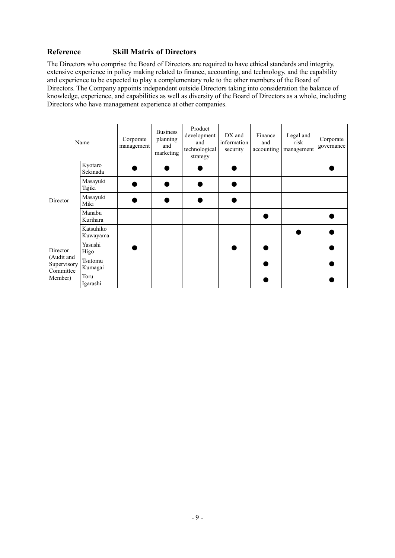## **Reference Skill Matrix of Directors**

The Directors who comprise the Board of Directors are required to have ethical standards and integrity, extensive experience in policy making related to finance, accounting, and technology, and the capability and experience to be expected to play a complementary role to the other members of the Board of Directors. The Company appoints independent outside Directors taking into consideration the balance of knowledge, experience, and capabilities as well as diversity of the Board of Directors as a whole, including Directors who have management experience at other companies.

| Name                                   |                       | Corporate<br>management | <b>Business</b><br>planning<br>and<br>marketing | Product<br>development<br>and<br>technological<br>strategy | DX and<br>information<br>security | Finance<br>and<br>accounting | Legal and<br>risk<br>management | Corporate<br>governance |
|----------------------------------------|-----------------------|-------------------------|-------------------------------------------------|------------------------------------------------------------|-----------------------------------|------------------------------|---------------------------------|-------------------------|
|                                        | Kyotaro<br>Sekinada   |                         |                                                 |                                                            |                                   |                              |                                 |                         |
|                                        | Masayuki<br>Tajiki    |                         |                                                 |                                                            |                                   |                              |                                 |                         |
| Director                               | Masayuki<br>Miki      |                         |                                                 |                                                            |                                   |                              |                                 |                         |
|                                        | Manabu<br>Kurihara    |                         |                                                 |                                                            |                                   |                              |                                 |                         |
|                                        | Katsuhiko<br>Kuwayama |                         |                                                 |                                                            |                                   |                              |                                 |                         |
| Director                               | Yasushi<br>Higo       |                         |                                                 |                                                            |                                   |                              |                                 |                         |
| (Audit and<br>Supervisory<br>Committee | Tsutomu<br>Kumagai    |                         |                                                 |                                                            |                                   |                              |                                 |                         |
| Member)                                | Toru<br>Igarashi      |                         |                                                 |                                                            |                                   |                              |                                 |                         |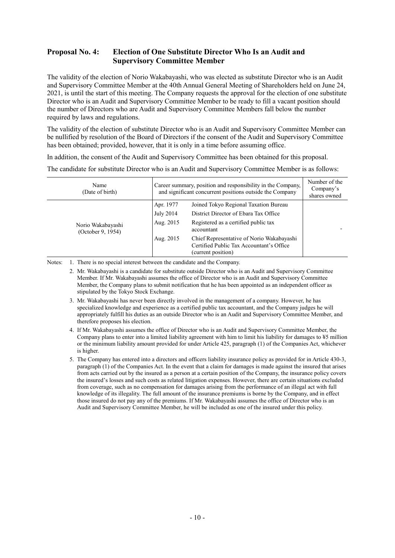### **Proposal No. 4: Election of One Substitute Director Who Is an Audit and Supervisory Committee Member**

The validity of the election of Norio Wakabayashi, who was elected as substitute Director who is an Audit and Supervisory Committee Member at the 40th Annual General Meeting of Shareholders held on June 24, 2021, is until the start of this meeting. The Company requests the approval for the election of one substitute Director who is an Audit and Supervisory Committee Member to be ready to fill a vacant position should the number of Directors who are Audit and Supervisory Committee Members fall below the number required by laws and regulations.

The validity of the election of substitute Director who is an Audit and Supervisory Committee Member can be nullified by resolution of the Board of Directors if the consent of the Audit and Supervisory Committee has been obtained; provided, however, that it is only in a time before assuming office.

In addition, the consent of the Audit and Supervisory Committee has been obtained for this proposal.

The candidate for substitute Director who is an Audit and Supervisory Committee Member is as follows:

| Name<br>(Date of birth)                | Career summary, position and responsibility in the Company,<br>and significant concurrent positions outside the Company |                                                                                                             | Number of the<br>Company's<br>shares owned |
|----------------------------------------|-------------------------------------------------------------------------------------------------------------------------|-------------------------------------------------------------------------------------------------------------|--------------------------------------------|
|                                        | Apr. 1977                                                                                                               | Joined Tokyo Regional Taxation Bureau                                                                       |                                            |
|                                        | July 2014                                                                                                               | District Director of Ebara Tax Office                                                                       |                                            |
| Norio Wakabayashi<br>(October 9, 1954) | Aug. 2015                                                                                                               | Registered as a certified public tax<br>accountant                                                          |                                            |
|                                        | Aug. 2015                                                                                                               | Chief Representative of Norio Wakabayashi<br>Certified Public Tax Accountant's Office<br>(current position) |                                            |

Notes: 1. There is no special interest between the candidate and the Company.

2. Mr. Wakabayashi is a candidate for substitute outside Director who is an Audit and Supervisory Committee Member. If Mr. Wakabayashi assumes the office of Director who is an Audit and Supervisory Committee Member, the Company plans to submit notification that he has been appointed as an independent officer as stipulated by the Tokyo Stock Exchange.

- 3. Mr. Wakabayashi has never been directly involved in the management of a company. However, he has specialized knowledge and experience as a certified public tax accountant, and the Company judges he will appropriately fulfill his duties as an outside Director who is an Audit and Supervisory Committee Member, and therefore proposes his election.
- 4. If Mr. Wakabayashi assumes the office of Director who is an Audit and Supervisory Committee Member, the Company plans to enter into a limited liability agreement with him to limit his liability for damages to ¥5 million or the minimum liability amount provided for under Article 425, paragraph (1) of the Companies Act, whichever is higher.
- 5. The Company has entered into a directors and officers liability insurance policy as provided for in Article 430-3, paragraph (1) of the Companies Act. In the event that a claim for damages is made against the insured that arises from acts carried out by the insured as a person at a certain position of the Company, the insurance policy covers the insured's losses and such costs as related litigation expenses. However, there are certain situations excluded from coverage, such as no compensation for damages arising from the performance of an illegal act with full knowledge of its illegality. The full amount of the insurance premiums is borne by the Company, and in effect those insured do not pay any of the premiums. If Mr. Wakabayashi assumes the office of Director who is an Audit and Supervisory Committee Member, he will be included as one of the insured under this policy.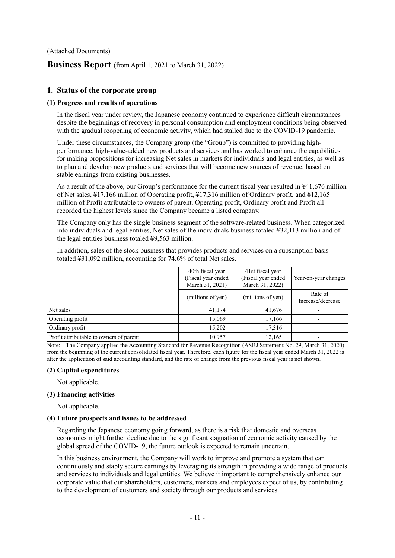(Attached Documents)

### **Business Report** (from April 1, 2021 to March 31, 2022)

#### **1. Status of the corporate group**

#### **(1) Progress and results of operations**

In the fiscal year under review, the Japanese economy continued to experience difficult circumstances despite the beginnings of recovery in personal consumption and employment conditions being observed with the gradual reopening of economic activity, which had stalled due to the COVID-19 pandemic.

Under these circumstances, the Company group (the "Group") is committed to providing highperformance, high-value-added new products and services and has worked to enhance the capabilities for making propositions for increasing Net sales in markets for individuals and legal entities, as well as to plan and develop new products and services that will become new sources of revenue, based on stable earnings from existing businesses.

As a result of the above, our Group's performance for the current fiscal year resulted in ¥41,676 million of Net sales, ¥17,166 million of Operating profit, ¥17,316 million of Ordinary profit, and ¥12,165 million of Profit attributable to owners of parent. Operating profit, Ordinary profit and Profit all recorded the highest levels since the Company became a listed company.

The Company only has the single business segment of the software-related business. When categorized into individuals and legal entities, Net sales of the individuals business totaled ¥32,113 million and of the legal entities business totaled ¥9,563 million.

In addition, sales of the stock business that provides products and services on a subscription basis totaled ¥31,092 million, accounting for 74.6% of total Net sales.

|                                         | 40th fiscal year<br>(Fiscal year ended<br>March 31, 2021) | 41st fiscal year<br>(Fiscal year ended<br>March 31, 2022) | Year-on-year changes         |  |
|-----------------------------------------|-----------------------------------------------------------|-----------------------------------------------------------|------------------------------|--|
|                                         | (millions of yen)                                         | (millions of yen)                                         | Rate of<br>Increase/decrease |  |
| Net sales                               | 41,174                                                    | 41,676                                                    |                              |  |
| Operating profit                        | 15,069                                                    | 17,166                                                    |                              |  |
| Ordinary profit                         | 15,202                                                    | 17,316                                                    |                              |  |
| Profit attributable to owners of parent | 10,957                                                    | 12,165                                                    |                              |  |

Note: The Company applied the Accounting Standard for Revenue Recognition (ASBJ Statement No. 29, March 31, 2020) from the beginning of the current consolidated fiscal year. Therefore, each figure for the fiscal year ended March 31, 2022 is after the application of said accounting standard, and the rate of change from the previous fiscal year is not shown.

#### **(2) Capital expenditures**

Not applicable.

#### **(3) Financing activities**

Not applicable.

#### **(4) Future prospects and issues to be addressed**

Regarding the Japanese economy going forward, as there is a risk that domestic and overseas economies might further decline due to the significant stagnation of economic activity caused by the global spread of the COVID-19, the future outlook is expected to remain uncertain.

In this business environment, the Company will work to improve and promote a system that can continuously and stably secure earnings by leveraging its strength in providing a wide range of products and services to individuals and legal entities. We believe it important to comprehensively enhance our corporate value that our shareholders, customers, markets and employees expect of us, by contributing to the development of customers and society through our products and services.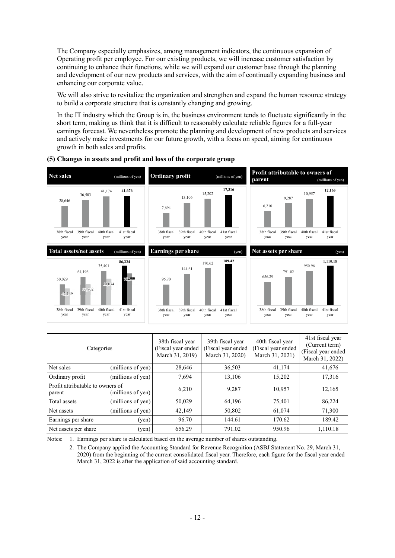The Company especially emphasizes, among management indicators, the continuous expansion of Operating profit per employee. For our existing products, we will increase customer satisfaction by continuing to enhance their functions, while we will expand our customer base through the planning and development of our new products and services, with the aim of continually expanding business and enhancing our corporate value.

We will also strive to revitalize the organization and strengthen and expand the human resource strategy to build a corporate structure that is constantly changing and growing.

In the IT industry which the Group is in, the business environment tends to fluctuate significantly in the short term, making us think that it is difficult to reasonably calculate reliable figures for a full-year earnings forecast. We nevertheless promote the planning and development of new products and services and actively make investments for our future growth, with a focus on speed, aiming for continuous growth in both sales and profits.



#### **(5) Changes in assets and profit and loss of the corporate group**

| Categories                                                      |                   | 38th fiscal year<br>(Fiscal year ended<br>March 31, 2019) | 39th fiscal year<br>(Fiscal year ended<br>March 31, 2020) | 40th fiscal year<br>(Fiscal year ended<br>March 31, 2021) | 41st fiscal year<br>(Current term)<br>(Fiscal year ended<br>March 31, 2022) |
|-----------------------------------------------------------------|-------------------|-----------------------------------------------------------|-----------------------------------------------------------|-----------------------------------------------------------|-----------------------------------------------------------------------------|
| Net sales                                                       | (millions of yen) | 28,646                                                    | 36,503                                                    | 41,174                                                    | 41,676                                                                      |
| (millions of yen)<br>Ordinary profit                            |                   | 7,694                                                     | 13,106                                                    | 15,202                                                    | 17,316                                                                      |
| Profit attributable to owners of<br>(millions of yen)<br>parent |                   | 6,210                                                     | 9,287                                                     | 10,957                                                    | 12,165                                                                      |
| Total assets<br>(millions of yen)                               |                   | 50,029                                                    | 64,196                                                    | 75,401                                                    | 86,224                                                                      |
| (millions of yen)<br>Net assets                                 |                   | 42,149                                                    | 50,802                                                    | 61,074                                                    | 71,300                                                                      |
| Earnings per share<br>(yen)                                     |                   | 96.70                                                     | 144.61                                                    | 170.62                                                    | 189.42                                                                      |
| Net assets per share<br>(yen)                                   |                   | 656.29                                                    | 791.02                                                    | 950.96                                                    | 1,110.18                                                                    |

Notes: 1. Earnings per share is calculated based on the average number of shares outstanding.

 2. The Company applied the Accounting Standard for Revenue Recognition (ASBJ Statement No. 29, March 31, 2020) from the beginning of the current consolidated fiscal year. Therefore, each figure for the fiscal year ended March 31, 2022 is after the application of said accounting standard.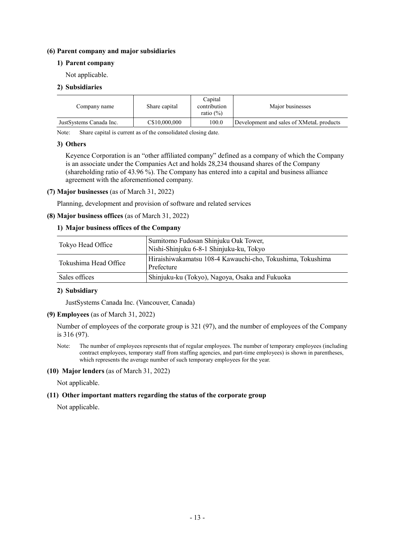#### **(6) Parent company and major subsidiaries**

#### **1) Parent company**

Not applicable.

#### **2) Subsidiaries**

| Company name            | Share capital | Capital<br>contribution<br>ratio $(\%)$ | Major businesses                         |
|-------------------------|---------------|-----------------------------------------|------------------------------------------|
| JustSystems Canada Inc. | C\$10,000,000 | 100.0                                   | Development and sales of XMetaL products |

Note: Share capital is current as of the consolidated closing date.

#### **3) Others**

Keyence Corporation is an "other affiliated company" defined as a company of which the Company is an associate under the Companies Act and holds 28,234 thousand shares of the Company (shareholding ratio of 43.96 %). The Company has entered into a capital and business alliance agreement with the aforementioned company.

#### **(7) Major businesses** (as of March 31, 2022)

Planning, development and provision of software and related services

#### **(8) Major business offices** (as of March 31, 2022)

#### **1) Major business offices of the Company**

| Tokyo Head Office     | Sumitomo Fudosan Shinjuku Oak Tower,<br>Nishi-Shinjuku 6-8-1 Shinjuku-ku, Tokyo |  |
|-----------------------|---------------------------------------------------------------------------------|--|
| Tokushima Head Office | Hiraishiwakamatsu 108-4 Kawauchi-cho, Tokushima, Tokushima<br>Prefecture        |  |
| Sales offices         | Shinjuku-ku (Tokyo), Nagoya, Osaka and Fukuoka                                  |  |

#### **2) Subsidiary**

JustSystems Canada Inc. (Vancouver, Canada)

**(9) Employees** (as of March 31, 2022)

Number of employees of the corporate group is 321 (97), and the number of employees of the Company is 316 (97).

Note: The number of employees represents that of regular employees. The number of temporary employees (including contract employees, temporary staff from staffing agencies, and part-time employees) is shown in parentheses, which represents the average number of such temporary employees for the year.

#### **(10) Major lenders** (as of March 31, 2022)

Not applicable.

#### **(11) Other important matters regarding the status of the corporate group**

Not applicable.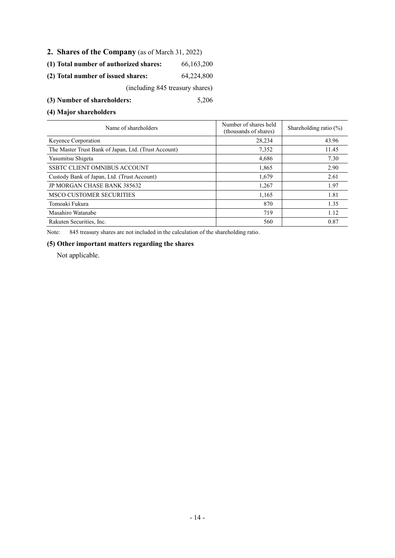- **2. Shares of the Company** (as of March 31, 2022)
- **(1) Total number of authorized shares:** 66,163,200
- **(2) Total number of issued shares:** 64,224,800

(including 845 treasury shares)

**(3) Number of shareholders:** 5,206

**(4) Major shareholders**

| Name of shareholders                                 | Number of shares held<br>(thousands of shares) | Shareholding ratio $(\%)$ |
|------------------------------------------------------|------------------------------------------------|---------------------------|
| Keyence Corporation                                  | 28.234                                         | 43.96                     |
| The Master Trust Bank of Japan, Ltd. (Trust Account) | 7,352                                          | 11.45                     |
| Yasumitsu Shigeta                                    | 4,686                                          | 7.30                      |
| <b>SSBTC CLIENT OMNIBUS ACCOUNT</b>                  | 1,865                                          | 2.90                      |
| Custody Bank of Japan, Ltd. (Trust Account)          | 1.679                                          | 2.61                      |
| <b>JP MORGAN CHASE BANK 385632</b>                   | 1,267                                          | 1.97                      |
| <b>MSCO CUSTOMER SECURITIES</b>                      | 1.165                                          | 1.81                      |
| Tomoaki Fukura                                       | 870                                            | 1.35                      |
| Masahiro Watanabe                                    | 719                                            | 1.12                      |
| Rakuten Securities, Inc.                             | 560                                            | 0.87                      |

Note: 845 treasury shares are not included in the calculation of the shareholding ratio.

#### **(5) Other important matters regarding the shares**

Not applicable.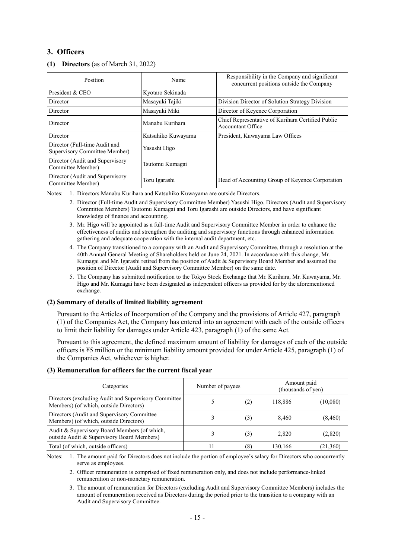### **3. Officers**

| Position                                                       | Name               | Responsibility in the Company and significant<br>concurrent positions outside the Company |
|----------------------------------------------------------------|--------------------|-------------------------------------------------------------------------------------------|
| President & CEO                                                | Kyotaro Sekinada   |                                                                                           |
| Director                                                       | Masayuki Tajiki    | Division Director of Solution Strategy Division                                           |
| Director                                                       | Masayuki Miki      | Director of Keyence Corporation                                                           |
| Director                                                       | Manabu Kurihara    | Chief Representative of Kurihara Certified Public<br>Accountant Office                    |
| Director                                                       | Katsuhiko Kuwayama | President, Kuwayama Law Offices                                                           |
| Director (Full-time Audit and<br>Supervisory Committee Member) | Yasushi Higo       |                                                                                           |
| Director (Audit and Supervisory<br>Committee Member)           | Tsutomu Kumagai    |                                                                                           |
| Director (Audit and Supervisory<br>Committee Member)           | Toru Igarashi      | Head of Accounting Group of Keyence Corporation                                           |

#### **(1) Directors** (as of March 31, 2022)

Notes: 1. Directors Manabu Kurihara and Katsuhiko Kuwayama are outside Directors.

- 2. Director (Full-time Audit and Supervisory Committee Member) Yasushi Higo, Directors (Audit and Supervisory Committee Members) Tsutomu Kumagai and Toru Igarashi are outside Directors, and have significant knowledge of finance and accounting.
- 3. Mr. Higo will be appointed as a full-time Audit and Supervisory Committee Member in order to enhance the effectiveness of audits and strengthen the auditing and supervisory functions through enhanced information gathering and adequate cooperation with the internal audit department, etc.
- 4. The Company transitioned to a company with an Audit and Supervisory Committee, through a resolution at the 40th Annual General Meeting of Shareholders held on June 24, 2021. In accordance with this change, Mr. Kumagai and Mr. Igarashi retired from the position of Audit & Supervisory Board Member and assumed the position of Director (Audit and Supervisory Committee Member) on the same date.
- 5. The Company has submitted notification to the Tokyo Stock Exchange that Mr. Kurihara, Mr. Kuwayama, Mr. Higo and Mr. Kumagai have been designated as independent officers as provided for by the aforementioned exchange.

#### **(2) Summary of details of limited liability agreement**

Pursuant to the Articles of Incorporation of the Company and the provisions of Article 427, paragraph (1) of the Companies Act, the Company has entered into an agreement with each of the outside officers to limit their liability for damages under Article 423, paragraph (1) of the same Act.

Pursuant to this agreement, the defined maximum amount of liability for damages of each of the outside officers is ¥5 million or the minimum liability amount provided for under Article 425, paragraph (1) of the Companies Act, whichever is higher.

#### **(3) Remuneration for officers for the current fiscal year**

| Categories                                                                                      | Number of payees |     | Amount paid<br>(thousands of yen) |          |
|-------------------------------------------------------------------------------------------------|------------------|-----|-----------------------------------|----------|
| Directors (excluding Audit and Supervisory Committee)<br>Members) (of which, outside Directors) |                  | (2) | 118,886                           | (10,080) |
| Directors (Audit and Supervisory Committee)<br>Members) (of which, outside Directors)           |                  | (3) | 8.460                             | (8, 460) |
| Audit & Supervisory Board Members (of which,<br>outside Audit & Supervisory Board Members)      |                  | (3) | 2,820                             | (2,820)  |
| Total (of which, outside officers)                                                              |                  | (8) | 130,166                           | (21,360) |

Notes: 1. The amount paid for Directors does not include the portion of employee's salary for Directors who concurrently serve as employees.

2. Officer remuneration is comprised of fixed remuneration only, and does not include performance-linked remuneration or non-monetary remuneration.

3. The amount of remuneration for Directors (excluding Audit and Supervisory Committee Members) includes the amount of remuneration received as Directors during the period prior to the transition to a company with an Audit and Supervisory Committee.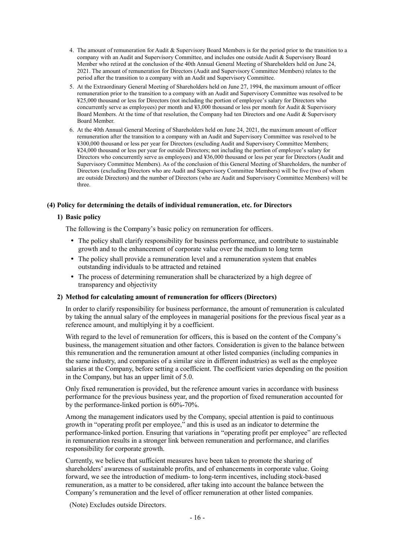- 4. The amount of remuneration for Audit & Supervisory Board Members is for the period prior to the transition to a company with an Audit and Supervisory Committee, and includes one outside Audit & Supervisory Board Member who retired at the conclusion of the 40th Annual General Meeting of Shareholders held on June 24, 2021. The amount of remuneration for Directors (Audit and Supervisory Committee Members) relates to the period after the transition to a company with an Audit and Supervisory Committee.
- 5. At the Extraordinary General Meeting of Shareholders held on June 27, 1994, the maximum amount of officer remuneration prior to the transition to a company with an Audit and Supervisory Committee was resolved to be ¥25,000 thousand or less for Directors (not including the portion of employee's salary for Directors who concurrently serve as employees) per month and ¥3,000 thousand or less per month for Audit & Supervisory Board Members. At the time of that resolution, the Company had ten Directors and one Audit & Supervisory Board Member.
- 6. At the 40th Annual General Meeting of Shareholders held on June 24, 2021, the maximum amount of officer remuneration after the transition to a company with an Audit and Supervisory Committee was resolved to be ¥300,000 thousand or less per year for Directors (excluding Audit and Supervisory Committee Members; ¥24,000 thousand or less per year for outside Directors; not including the portion of employee's salary for Directors who concurrently serve as employees) and ¥36,000 thousand or less per year for Directors (Audit and Supervisory Committee Members). As of the conclusion of this General Meeting of Shareholders, the number of Directors (excluding Directors who are Audit and Supervisory Committee Members) will be five (two of whom are outside Directors) and the number of Directors (who are Audit and Supervisory Committee Members) will be three.

#### **(4) Policy for determining the details of individual remuneration, etc. for Directors**

#### **1) Basic policy**

The following is the Company's basic policy on remuneration for officers.

- The policy shall clarify responsibility for business performance, and contribute to sustainable growth and to the enhancement of corporate value over the medium to long term
- The policy shall provide a remuneration level and a remuneration system that enables outstanding individuals to be attracted and retained
- The process of determining remuneration shall be characterized by a high degree of transparency and objectivity

#### **2) Method for calculating amount of remuneration for officers (Directors)**

In order to clarify responsibility for business performance, the amount of remuneration is calculated by taking the annual salary of the employees in managerial positions for the previous fiscal year as a reference amount, and multiplying it by a coefficient.

With regard to the level of remuneration for officers, this is based on the content of the Company's business, the management situation and other factors. Consideration is given to the balance between this remuneration and the remuneration amount at other listed companies (including companies in the same industry, and companies of a similar size in different industries) as well as the employee salaries at the Company, before setting a coefficient. The coefficient varies depending on the position in the Company, but has an upper limit of 5.0.

Only fixed remuneration is provided, but the reference amount varies in accordance with business performance for the previous business year, and the proportion of fixed remuneration accounted for by the performance-linked portion is 60%-70%.

Among the management indicators used by the Company, special attention is paid to continuous growth in "operating profit per employee," and this is used as an indicator to determine the performance-linked portion. Ensuring that variations in "operating profit per employee" are reflected in remuneration results in a stronger link between remuneration and performance, and clarifies responsibility for corporate growth.

Currently, we believe that sufficient measures have been taken to promote the sharing of shareholders' awareness of sustainable profits, and of enhancements in corporate value. Going forward, we see the introduction of medium- to long-term incentives, including stock-based remuneration, as a matter to be considered, after taking into account the balance between the Company's remuneration and the level of officer remuneration at other listed companies.

(Note) Excludes outside Directors.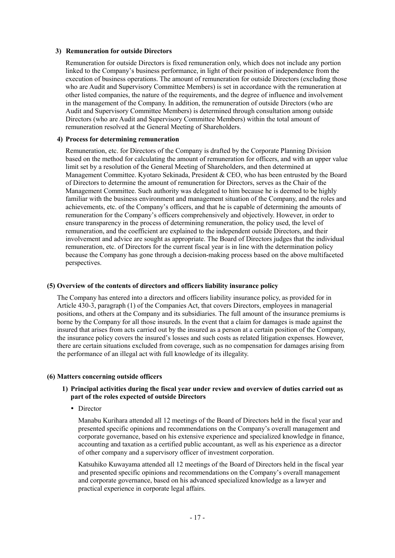#### **3) Remuneration for outside Directors**

Remuneration for outside Directors is fixed remuneration only, which does not include any portion linked to the Company's business performance, in light of their position of independence from the execution of business operations. The amount of remuneration for outside Directors (excluding those who are Audit and Supervisory Committee Members) is set in accordance with the remuneration at other listed companies, the nature of the requirements, and the degree of influence and involvement in the management of the Company. In addition, the remuneration of outside Directors (who are Audit and Supervisory Committee Members) is determined through consultation among outside Directors (who are Audit and Supervisory Committee Members) within the total amount of remuneration resolved at the General Meeting of Shareholders.

#### **4) Process for determining remuneration**

Remuneration, etc. for Directors of the Company is drafted by the Corporate Planning Division based on the method for calculating the amount of remuneration for officers, and with an upper value limit set by a resolution of the General Meeting of Shareholders, and then determined at Management Committee. Kyotaro Sekinada, President & CEO, who has been entrusted by the Board of Directors to determine the amount of remuneration for Directors, serves as the Chair of the Management Committee. Such authority was delegated to him because he is deemed to be highly familiar with the business environment and management situation of the Company, and the roles and achievements, etc. of the Company's officers, and that he is capable of determining the amounts of remuneration for the Company's officers comprehensively and objectively. However, in order to ensure transparency in the process of determining remuneration, the policy used, the level of remuneration, and the coefficient are explained to the independent outside Directors, and their involvement and advice are sought as appropriate. The Board of Directors judges that the individual remuneration, etc. of Directors for the current fiscal year is in line with the determination policy because the Company has gone through a decision-making process based on the above multifaceted perspectives.

#### **(5) Overview of the contents of directors and officers liability insurance policy**

The Company has entered into a directors and officers liability insurance policy, as provided for in Article 430-3, paragraph (1) of the Companies Act, that covers Directors, employees in managerial positions, and others at the Company and its subsidiaries. The full amount of the insurance premiums is borne by the Company for all those insureds. In the event that a claim for damages is made against the insured that arises from acts carried out by the insured as a person at a certain position of the Company, the insurance policy covers the insured's losses and such costs as related litigation expenses. However, there are certain situations excluded from coverage, such as no compensation for damages arising from the performance of an illegal act with full knowledge of its illegality.

#### **(6) Matters concerning outside officers**

#### **1) Principal activities during the fiscal year under review and overview of duties carried out as part of the roles expected of outside Directors**

• Director

Manabu Kurihara attended all 12 meetings of the Board of Directors held in the fiscal year and presented specific opinions and recommendations on the Company's overall management and corporate governance, based on his extensive experience and specialized knowledge in finance, accounting and taxation as a certified public accountant, as well as his experience as a director of other company and a supervisory officer of investment corporation.

Katsuhiko Kuwayama attended all 12 meetings of the Board of Directors held in the fiscal year and presented specific opinions and recommendations on the Company's overall management and corporate governance, based on his advanced specialized knowledge as a lawyer and practical experience in corporate legal affairs.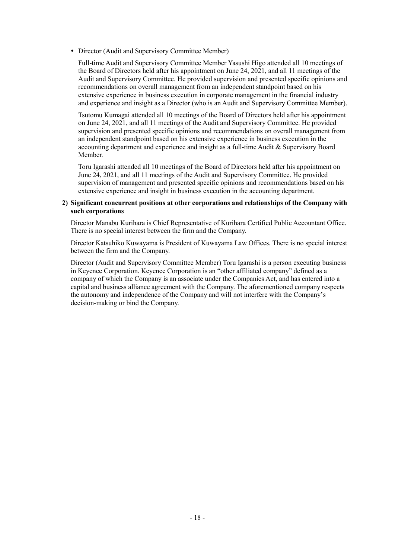Director (Audit and Supervisory Committee Member)

Full-time Audit and Supervisory Committee Member Yasushi Higo attended all 10 meetings of the Board of Directors held after his appointment on June 24, 2021, and all 11 meetings of the Audit and Supervisory Committee. He provided supervision and presented specific opinions and recommendations on overall management from an independent standpoint based on his extensive experience in business execution in corporate management in the financial industry and experience and insight as a Director (who is an Audit and Supervisory Committee Member).

Tsutomu Kumagai attended all 10 meetings of the Board of Directors held after his appointment on June 24, 2021, and all 11 meetings of the Audit and Supervisory Committee. He provided supervision and presented specific opinions and recommendations on overall management from an independent standpoint based on his extensive experience in business execution in the accounting department and experience and insight as a full-time Audit & Supervisory Board Member.

Toru Igarashi attended all 10 meetings of the Board of Directors held after his appointment on June 24, 2021, and all 11 meetings of the Audit and Supervisory Committee. He provided supervision of management and presented specific opinions and recommendations based on his extensive experience and insight in business execution in the accounting department.

#### **2) Significant concurrent positions at other corporations and relationships of the Company with such corporations**

Director Manabu Kurihara is Chief Representative of Kurihara Certified Public Accountant Office. There is no special interest between the firm and the Company.

Director Katsuhiko Kuwayama is President of Kuwayama Law Offices. There is no special interest between the firm and the Company.

Director (Audit and Supervisory Committee Member) Toru Igarashi is a person executing business in Keyence Corporation. Keyence Corporation is an "other affiliated company" defined as a company of which the Company is an associate under the Companies Act, and has entered into a capital and business alliance agreement with the Company. The aforementioned company respects the autonomy and independence of the Company and will not interfere with the Company's decision-making or bind the Company.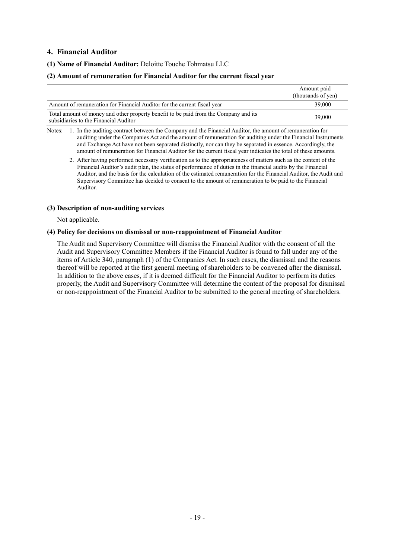### **4. Financial Auditor**

#### **(1) Name of Financial Auditor:** Deloitte Touche Tohmatsu LLC

#### **(2) Amount of remuneration for Financial Auditor for the current fiscal year**

|                                                                                                                               | Amount paid<br>(thousands of yen) |
|-------------------------------------------------------------------------------------------------------------------------------|-----------------------------------|
| Amount of remuneration for Financial Auditor for the current fiscal year                                                      | 39,000                            |
| Total amount of money and other property benefit to be paid from the Company and its<br>subsidiaries to the Financial Auditor | 39,000                            |

Notes: 1. In the auditing contract between the Company and the Financial Auditor, the amount of remuneration for auditing under the Companies Act and the amount of remuneration for auditing under the Financial Instruments and Exchange Act have not been separated distinctly, nor can they be separated in essence. Accordingly, the amount of remuneration for Financial Auditor for the current fiscal year indicates the total of these amounts.

#### **(3) Description of non-auditing services**

Not applicable.

#### **(4) Policy for decisions on dismissal or non-reappointment of Financial Auditor**

The Audit and Supervisory Committee will dismiss the Financial Auditor with the consent of all the Audit and Supervisory Committee Members if the Financial Auditor is found to fall under any of the items of Article 340, paragraph (1) of the Companies Act. In such cases, the dismissal and the reasons thereof will be reported at the first general meeting of shareholders to be convened after the dismissal. In addition to the above cases, if it is deemed difficult for the Financial Auditor to perform its duties properly, the Audit and Supervisory Committee will determine the content of the proposal for dismissal or non-reappointment of the Financial Auditor to be submitted to the general meeting of shareholders.

<sup>2.</sup> After having performed necessary verification as to the appropriateness of matters such as the content of the Financial Auditor's audit plan, the status of performance of duties in the financial audits by the Financial Auditor, and the basis for the calculation of the estimated remuneration for the Financial Auditor, the Audit and Supervisory Committee has decided to consent to the amount of remuneration to be paid to the Financial Auditor.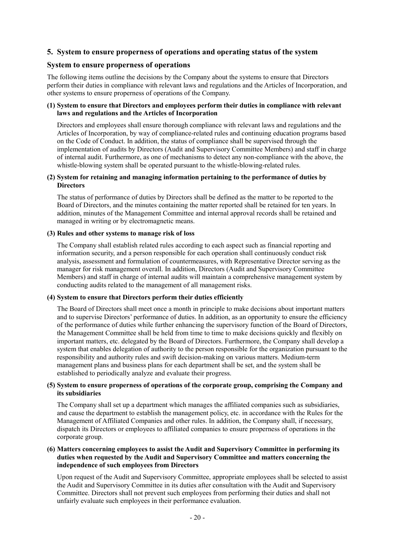### **5. System to ensure properness of operations and operating status of the system**

#### **System to ensure properness of operations**

The following items outline the decisions by the Company about the systems to ensure that Directors perform their duties in compliance with relevant laws and regulations and the Articles of Incorporation, and other systems to ensure properness of operations of the Company.

#### **(1) System to ensure that Directors and employees perform their duties in compliance with relevant laws and regulations and the Articles of Incorporation**

Directors and employees shall ensure thorough compliance with relevant laws and regulations and the Articles of Incorporation, by way of compliance-related rules and continuing education programs based on the Code of Conduct. In addition, the status of compliance shall be supervised through the implementation of audits by Directors (Audit and Supervisory Committee Members) and staff in charge of internal audit. Furthermore, as one of mechanisms to detect any non-compliance with the above, the whistle-blowing system shall be operated pursuant to the whistle-blowing-related rules.

#### **(2) System for retaining and managing information pertaining to the performance of duties by Directors**

The status of performance of duties by Directors shall be defined as the matter to be reported to the Board of Directors, and the minutes containing the matter reported shall be retained for ten years. In addition, minutes of the Management Committee and internal approval records shall be retained and managed in writing or by electromagnetic means.

#### **(3) Rules and other systems to manage risk of loss**

The Company shall establish related rules according to each aspect such as financial reporting and information security, and a person responsible for each operation shall continuously conduct risk analysis, assessment and formulation of countermeasures, with Representative Director serving as the manager for risk management overall. In addition, Directors (Audit and Supervisory Committee Members) and staff in charge of internal audits will maintain a comprehensive management system by conducting audits related to the management of all management risks.

#### **(4) System to ensure that Directors perform their duties efficiently**

The Board of Directors shall meet once a month in principle to make decisions about important matters and to supervise Directors' performance of duties. In addition, as an opportunity to ensure the efficiency of the performance of duties while further enhancing the supervisory function of the Board of Directors, the Management Committee shall be held from time to time to make decisions quickly and flexibly on important matters, etc. delegated by the Board of Directors. Furthermore, the Company shall develop a system that enables delegation of authority to the person responsible for the organization pursuant to the responsibility and authority rules and swift decision-making on various matters. Medium-term management plans and business plans for each department shall be set, and the system shall be established to periodically analyze and evaluate their progress.

#### **(5) System to ensure properness of operations of the corporate group, comprising the Company and its subsidiaries**

The Company shall set up a department which manages the affiliated companies such as subsidiaries, and cause the department to establish the management policy, etc. in accordance with the Rules for the Management of Affiliated Companies and other rules. In addition, the Company shall, if necessary, dispatch its Directors or employees to affiliated companies to ensure properness of operations in the corporate group.

#### **(6) Matters concerning employees to assist the Audit and Supervisory Committee in performing its duties when requested by the Audit and Supervisory Committee and matters concerning the independence of such employees from Directors**

Upon request of the Audit and Supervisory Committee, appropriate employees shall be selected to assist the Audit and Supervisory Committee in its duties after consultation with the Audit and Supervisory Committee. Directors shall not prevent such employees from performing their duties and shall not unfairly evaluate such employees in their performance evaluation.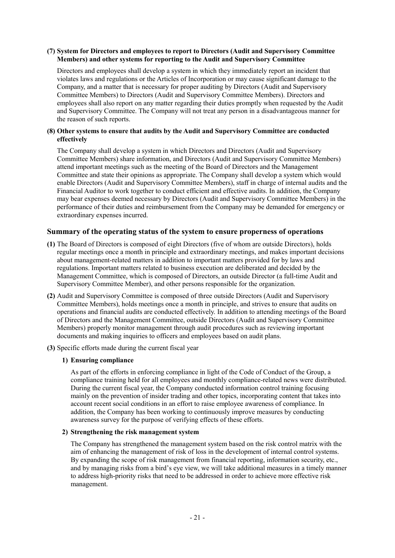#### **(7) System for Directors and employees to report to Directors (Audit and Supervisory Committee Members) and other systems for reporting to the Audit and Supervisory Committee**

Directors and employees shall develop a system in which they immediately report an incident that violates laws and regulations or the Articles of Incorporation or may cause significant damage to the Company, and a matter that is necessary for proper auditing by Directors (Audit and Supervisory Committee Members) to Directors (Audit and Supervisory Committee Members). Directors and employees shall also report on any matter regarding their duties promptly when requested by the Audit and Supervisory Committee. The Company will not treat any person in a disadvantageous manner for the reason of such reports.

#### **(8) Other systems to ensure that audits by the Audit and Supervisory Committee are conducted effectively**

The Company shall develop a system in which Directors and Directors (Audit and Supervisory Committee Members) share information, and Directors (Audit and Supervisory Committee Members) attend important meetings such as the meeting of the Board of Directors and the Management Committee and state their opinions as appropriate. The Company shall develop a system which would enable Directors (Audit and Supervisory Committee Members), staff in charge of internal audits and the Financial Auditor to work together to conduct efficient and effective audits. In addition, the Company may bear expenses deemed necessary by Directors (Audit and Supervisory Committee Members) in the performance of their duties and reimbursement from the Company may be demanded for emergency or extraordinary expenses incurred.

### **Summary of the operating status of the system to ensure properness of operations**

- **(1)** The Board of Directors is composed of eight Directors (five of whom are outside Directors), holds regular meetings once a month in principle and extraordinary meetings, and makes important decisions about management-related matters in addition to important matters provided for by laws and regulations. Important matters related to business execution are deliberated and decided by the Management Committee, which is composed of Directors, an outside Director (a full-time Audit and Supervisory Committee Member), and other persons responsible for the organization.
- **(2)** Audit and Supervisory Committee is composed of three outside Directors (Audit and Supervisory Committee Members), holds meetings once a month in principle, and strives to ensure that audits on operations and financial audits are conducted effectively. In addition to attending meetings of the Board of Directors and the Management Committee, outside Directors (Audit and Supervisory Committee Members) properly monitor management through audit procedures such as reviewing important documents and making inquiries to officers and employees based on audit plans.
- **(3)** Specific efforts made during the current fiscal year

#### **1) Ensuring compliance**

As part of the efforts in enforcing compliance in light of the Code of Conduct of the Group, a compliance training held for all employees and monthly compliance-related news were distributed. During the current fiscal year, the Company conducted information control training focusing mainly on the prevention of insider trading and other topics, incorporating content that takes into account recent social conditions in an effort to raise employee awareness of compliance. In addition, the Company has been working to continuously improve measures by conducting awareness survey for the purpose of verifying effects of these efforts.

#### **2) Strengthening the risk management system**

The Company has strengthened the management system based on the risk control matrix with the aim of enhancing the management of risk of loss in the development of internal control systems. By expanding the scope of risk management from financial reporting, information security, etc., and by managing risks from a bird's eye view, we will take additional measures in a timely manner to address high-priority risks that need to be addressed in order to achieve more effective risk management.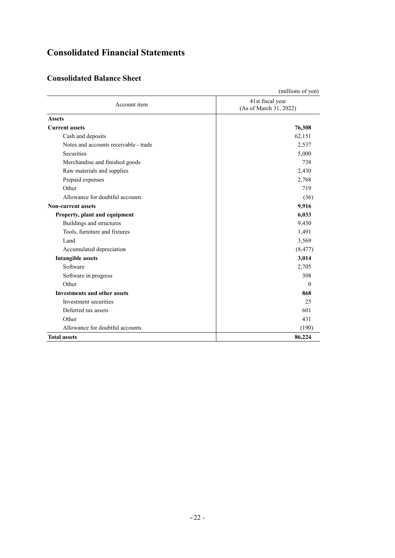# **Consolidated Financial Statements**

## **Consolidated Balance Sheet**

|                                       | (millions of yen)                          |
|---------------------------------------|--------------------------------------------|
| Account item                          | 41st fiscal year<br>(As of March 31, 2022) |
| <b>Assets</b>                         |                                            |
| <b>Current assets</b>                 | 76,308                                     |
| Cash and deposits                     | 62,151                                     |
| Notes and accounts receivable - trade | 2,537                                      |
| <b>Securities</b>                     | 5,000                                      |
| Merchandise and finished goods        | 738                                        |
| Raw materials and supplies            | 2,430                                      |
| Prepaid expenses                      | 2,768                                      |
| Other                                 | 719                                        |
| Allowance for doubtful accounts       | (36)                                       |
| <b>Non-current assets</b>             | 9,916                                      |
| Property, plant and equipment         | 6,033                                      |
| Buildings and structures              | 9,450                                      |
| Tools, furniture and fixtures         | 1,491                                      |
| Land                                  | 3,569                                      |
| Accumulated depreciation              | (8, 477)                                   |
| <b>Intangible assets</b>              | 3,014                                      |
| Software                              | 2,705                                      |
| Software in progress                  | 308                                        |
| Other                                 | $\Omega$                                   |
| <b>Investments and other assets</b>   | 868                                        |
| Investment securities                 | 25                                         |
| Deferred tax assets                   | 601                                        |
| Other                                 | 431                                        |
| Allowance for doubtful accounts       | (190)                                      |
| <b>Total assets</b>                   | 86,224                                     |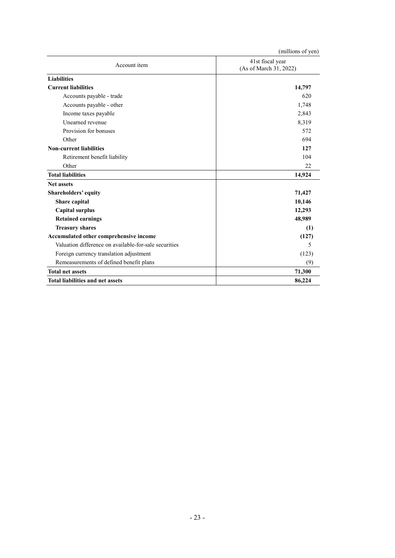|                                                       | (millions of yen)                          |
|-------------------------------------------------------|--------------------------------------------|
| Account item                                          | 41st fiscal year<br>(As of March 31, 2022) |
| <b>Liabilities</b>                                    |                                            |
| <b>Current liabilities</b>                            | 14,797                                     |
| Accounts payable - trade                              | 620                                        |
| Accounts payable - other                              | 1,748                                      |
| Income taxes payable                                  | 2,843                                      |
| Unearned revenue                                      | 8,319                                      |
| Provision for bonuses                                 | 572                                        |
| Other                                                 | 694                                        |
| <b>Non-current liabilities</b>                        | 127                                        |
| Retirement benefit liability                          | 104                                        |
| Other                                                 | 22                                         |
| <b>Total liabilities</b>                              | 14,924                                     |
| <b>Net assets</b>                                     |                                            |
| Shareholders' equity                                  | 71,427                                     |
| Share capital                                         | 10,146                                     |
| <b>Capital surplus</b>                                | 12,293                                     |
| <b>Retained earnings</b>                              | 48,989                                     |
| <b>Treasury shares</b>                                | (1)                                        |
| Accumulated other comprehensive income                | (127)                                      |
| Valuation difference on available-for-sale securities | 5                                          |
| Foreign currency translation adjustment               | (123)                                      |
| Remeasurements of defined benefit plans               | (9)                                        |
| <b>Total net assets</b>                               | 71,300                                     |
| <b>Total liabilities and net assets</b>               | 86,224                                     |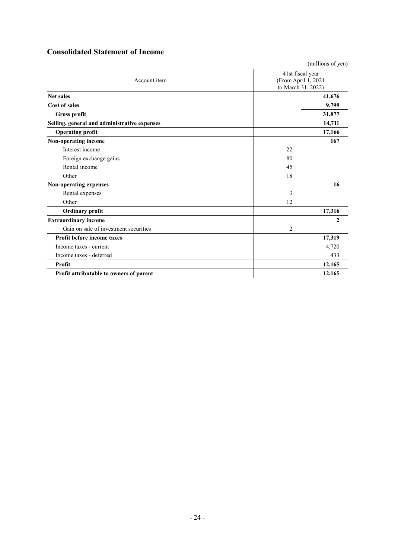| <b>Consolidated Statement of Income</b> |  |  |
|-----------------------------------------|--|--|
|-----------------------------------------|--|--|

(millions of yen)

| Account item                                 | 41st fiscal year<br>(From April 1, 2021<br>to March 31, 2022) |        |  |
|----------------------------------------------|---------------------------------------------------------------|--------|--|
| <b>Net sales</b>                             |                                                               | 41,676 |  |
| <b>Cost of sales</b>                         |                                                               | 9,799  |  |
| <b>Gross profit</b>                          |                                                               | 31,877 |  |
| Selling, general and administrative expenses |                                                               | 14,711 |  |
| <b>Operating profit</b>                      |                                                               | 17,166 |  |
| Non-operating income                         |                                                               | 167    |  |
| Interest income                              | 22                                                            |        |  |
| Foreign exchange gains                       | 80                                                            |        |  |
| Rental income                                | 45                                                            |        |  |
| Other                                        | 18                                                            |        |  |
| Non-operating expenses                       |                                                               | 16     |  |
| Rental expenses                              | 3                                                             |        |  |
| Other                                        | 12                                                            |        |  |
| <b>Ordinary profit</b>                       |                                                               | 17,316 |  |
| <b>Extraordinary income</b>                  |                                                               | 2      |  |
| Gain on sale of investment securities        | $\overline{2}$                                                |        |  |
| Profit before income taxes                   |                                                               | 17,319 |  |
| Income taxes - current                       |                                                               | 4,720  |  |
| Income taxes - deferred                      |                                                               | 433    |  |
| Profit                                       |                                                               | 12,165 |  |
| Profit attributable to owners of parent      |                                                               | 12,165 |  |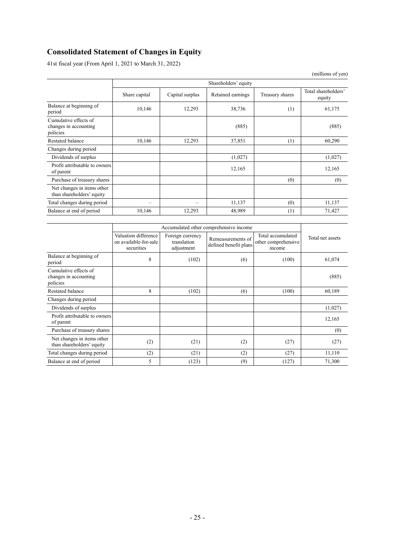## **Consolidated Statement of Changes in Equity**

41st fiscal year (From April 1, 2021 to March 31, 2022)

|                                                            |               |                      |                   |                 | (millions of yen)             |
|------------------------------------------------------------|---------------|----------------------|-------------------|-----------------|-------------------------------|
|                                                            |               | Shareholders' equity |                   |                 |                               |
|                                                            | Share capital | Capital surplus      | Retained earnings | Treasury shares | Total shareholders'<br>equity |
| Balance at beginning of<br>period                          | 10,146        | 12,293               | 38,736            | (1)             | 61,175                        |
| Cumulative effects of<br>changes in accounting<br>policies |               |                      | (885)             |                 | (885)                         |
| <b>Restated balance</b>                                    | 10,146        | 12,293               | 37,851            | (1)             | 60,290                        |
| Changes during period                                      |               |                      |                   |                 |                               |
| Dividends of surplus                                       |               |                      | (1,027)           |                 | (1,027)                       |
| Profit attributable to owners<br>of parent                 |               |                      | 12,165            |                 | 12,165                        |
| Purchase of treasury shares                                |               |                      |                   | (0)             | (0)                           |
| Net changes in items other<br>than shareholders' equity    |               |                      |                   |                 |                               |
| Total changes during period                                |               |                      | 11,137            | (0)             | 11,137                        |
| Balance at end of period                                   | 10,146        | 12,293               | 48,989            | (1)             | 71,427                        |

|                                                            | Accumulated other comprehensive income                      |                                               |                                            |                                                    |                  |
|------------------------------------------------------------|-------------------------------------------------------------|-----------------------------------------------|--------------------------------------------|----------------------------------------------------|------------------|
|                                                            | Valuation difference<br>on available-for-sale<br>securities | Foreign currency<br>translation<br>adjustment | Remeasurements of<br>defined benefit plans | Total accumulated<br>other comprehensive<br>income | Total net assets |
| Balance at beginning of<br>period                          | 8                                                           | (102)                                         | (6)                                        | (100)                                              | 61,074           |
| Cumulative effects of<br>changes in accounting<br>policies |                                                             |                                               |                                            |                                                    | (885)            |
| Restated balance                                           | 8                                                           | (102)                                         | (6)                                        | (100)                                              | 60,189           |
| Changes during period                                      |                                                             |                                               |                                            |                                                    |                  |
| Dividends of surplus                                       |                                                             |                                               |                                            |                                                    | (1,027)          |
| Profit attributable to owners<br>of parent                 |                                                             |                                               |                                            |                                                    | 12,165           |
| Purchase of treasury shares                                |                                                             |                                               |                                            |                                                    | (0)              |
| Net changes in items other<br>than shareholders' equity    | (2)                                                         | (21)                                          | (2)                                        | (27)                                               | (27)             |
| Total changes during period                                | (2)                                                         | (21)                                          | (2)                                        | (27)                                               | 11,110           |
| Balance at end of period                                   | 5                                                           | (123)                                         | (9)                                        | (127)                                              | 71,300           |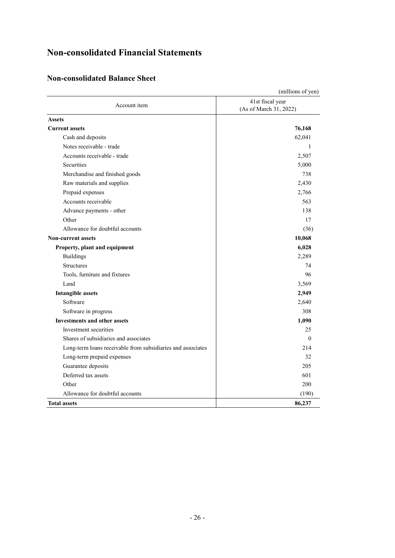# **Non-consolidated Financial Statements**

## **Non-consolidated Balance Sheet**

|                                                             | (millions of yen)                          |
|-------------------------------------------------------------|--------------------------------------------|
| Account item                                                | 41st fiscal year<br>(As of March 31, 2022) |
| <b>Assets</b>                                               |                                            |
| <b>Current assets</b>                                       | 76,168                                     |
| Cash and deposits                                           | 62,041                                     |
| Notes receivable - trade                                    | 1                                          |
| Accounts receivable - trade                                 | 2,507                                      |
| <b>Securities</b>                                           | 5,000                                      |
| Merchandise and finished goods                              | 738                                        |
| Raw materials and supplies                                  | 2,430                                      |
| Prepaid expenses                                            | 2,766                                      |
| Accounts receivable                                         | 563                                        |
| Advance payments - other                                    | 138                                        |
| Other                                                       | 17                                         |
| Allowance for doubtful accounts                             | (36)                                       |
| <b>Non-current assets</b>                                   | 10,068                                     |
| Property, plant and equipment                               | 6,028                                      |
| <b>Buildings</b>                                            | 2,289                                      |
| <b>Structures</b>                                           | 74                                         |
| Tools, furniture and fixtures                               | 96                                         |
| Land                                                        | 3,569                                      |
| <b>Intangible assets</b>                                    | 2,949                                      |
| Software                                                    | 2,640                                      |
| Software in progress                                        | 308                                        |
| <b>Investments and other assets</b>                         | 1,090                                      |
| Investment securities                                       | 25                                         |
| Shares of subsidiaries and associates                       | $\Omega$                                   |
| Long-term loans receivable from subsidiaries and associates | 214                                        |
| Long-term prepaid expenses                                  | 32                                         |
| Guarantee deposits                                          | 205                                        |
| Deferred tax assets                                         | 601                                        |
| Other                                                       | 200                                        |
| Allowance for doubtful accounts                             | (190)                                      |
| <b>Total assets</b>                                         | 86,237                                     |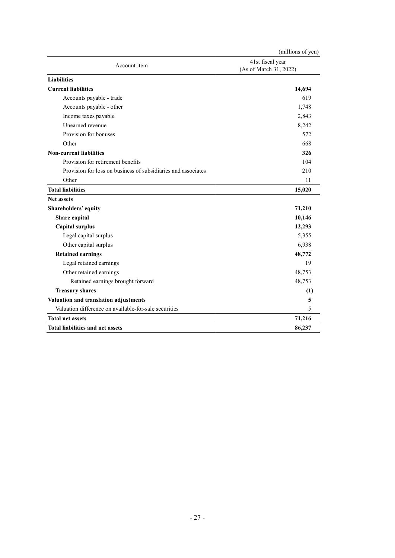|                                                               | (millions of yen)                          |
|---------------------------------------------------------------|--------------------------------------------|
| Account item                                                  | 41st fiscal year<br>(As of March 31, 2022) |
| <b>Liabilities</b>                                            |                                            |
| <b>Current liabilities</b>                                    | 14,694                                     |
| Accounts payable - trade                                      | 619                                        |
| Accounts payable - other                                      | 1,748                                      |
| Income taxes payable                                          | 2,843                                      |
| Unearned revenue                                              | 8,242                                      |
| Provision for bonuses                                         | 572                                        |
| Other                                                         | 668                                        |
| <b>Non-current liabilities</b>                                | 326                                        |
| Provision for retirement benefits                             | 104                                        |
| Provision for loss on business of subsidiaries and associates | 210                                        |
| Other                                                         | 11                                         |
| <b>Total liabilities</b>                                      | 15,020                                     |
| <b>Net assets</b>                                             |                                            |
| <b>Shareholders' equity</b>                                   | 71,210                                     |
| Share capital                                                 | 10,146                                     |
| <b>Capital surplus</b>                                        | 12,293                                     |
| Legal capital surplus                                         | 5,355                                      |
| Other capital surplus                                         | 6,938                                      |
| <b>Retained earnings</b>                                      | 48,772                                     |
| Legal retained earnings                                       | 19                                         |
| Other retained earnings                                       | 48,753                                     |
| Retained earnings brought forward                             | 48,753                                     |
| <b>Treasury shares</b>                                        | (1)                                        |
| Valuation and translation adjustments                         | 5                                          |
| Valuation difference on available-for-sale securities         | 5                                          |
| <b>Total net assets</b>                                       | 71,216                                     |
| <b>Total liabilities and net assets</b>                       | 86,237                                     |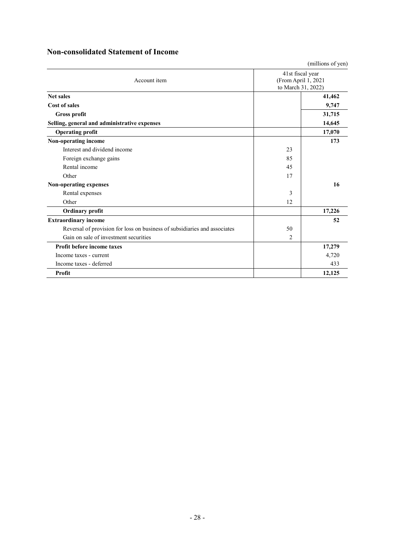## **Non-consolidated Statement of Income**

|                                                                           |                                                               | (millions of yen) |  |
|---------------------------------------------------------------------------|---------------------------------------------------------------|-------------------|--|
| Account item                                                              | 41st fiscal year<br>(From April 1, 2021<br>to March 31, 2022) |                   |  |
| <b>Net sales</b>                                                          |                                                               | 41,462            |  |
| <b>Cost of sales</b>                                                      |                                                               | 9,747             |  |
| Gross profit                                                              |                                                               | 31,715            |  |
| Selling, general and administrative expenses                              |                                                               | 14,645            |  |
| <b>Operating profit</b>                                                   |                                                               | 17,070            |  |
| Non-operating income                                                      |                                                               | 173               |  |
| Interest and dividend income                                              | 23                                                            |                   |  |
| Foreign exchange gains                                                    | 85                                                            |                   |  |
| Rental income                                                             | 45                                                            |                   |  |
| Other                                                                     | 17                                                            |                   |  |
| <b>Non-operating expenses</b>                                             |                                                               | 16                |  |
| Rental expenses                                                           | 3                                                             |                   |  |
| Other                                                                     | 12                                                            |                   |  |
| <b>Ordinary profit</b>                                                    |                                                               | 17,226            |  |
| <b>Extraordinary income</b>                                               |                                                               | 52                |  |
| Reversal of provision for loss on business of subsidiaries and associates | 50                                                            |                   |  |
| Gain on sale of investment securities                                     | 2                                                             |                   |  |
| Profit before income taxes                                                |                                                               | 17,279            |  |
| Income taxes - current                                                    |                                                               | 4,720             |  |
| Income taxes - deferred                                                   |                                                               | 433               |  |
| Profit                                                                    |                                                               | 12.125            |  |